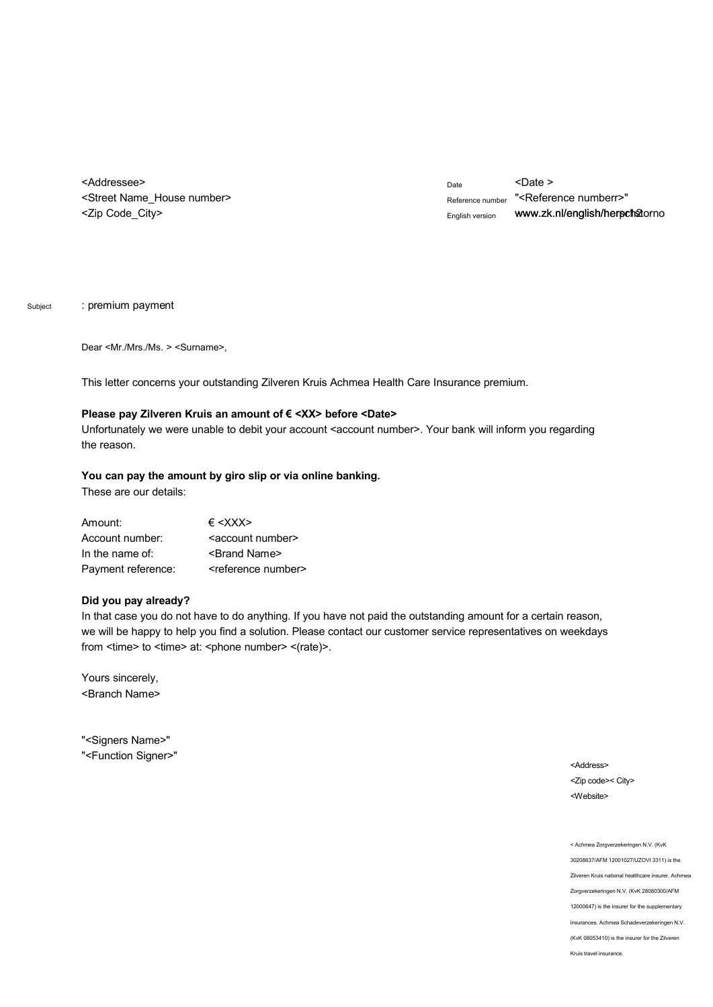<Addressee> <Street Name\_House number> <Zip Code\_City>

Date <Date > Reference number "<Reference numberr>" English version www.zk.nl/english/herprthotorno

Subject : premium payment

Dear <Mr./Mrs./Ms. > <Surname>,

This letter concerns your outstanding Zilveren Kruis Achmea Health Care Insurance premium.

## Please pay Zilveren Kruis an amount of € <XX> before <Date>

Unfortunately we were unable to debit your account <account number>. Your bank will inform you regarding the reason.

## **You can pay the amount by giro slip or via online banking.**

These are our details:

| Amount:            | $\epsilon$ < X X X $>$            |
|--------------------|-----------------------------------|
| Account number:    | <account number=""></account>     |
| In the name of:    | <brand name=""></brand>           |
| Payment reference: | <reference number=""></reference> |

## **Did you pay already?**

In that case you do not have to do anything. If you have not paid the outstanding amount for a certain reason, we will be happy to help you find a solution. Please contact our customer service representatives on weekdays from <time> to <time> at: <phone number> <(rate)>.

Yours sincerely, <Branch Name>

"<Signers Name>" "<Function Signer>"

<Address> <Zip code>< City> <Website>

< Achmea Zorgverzekeringen N.V. (KvK 30208637/AFM 12001027/UZOVI 3311) is the Zilveren Kruis national healthcare insurer. Achmea Zorgverzekeringen N.V. (KvK 28080300/AFM 12000647) is the insurer for the supplementary insurances. Achmea Schadeverzekeringen N.V. (KvK 08053410) is the insurer for the Zilveren Kruis travel insurance.